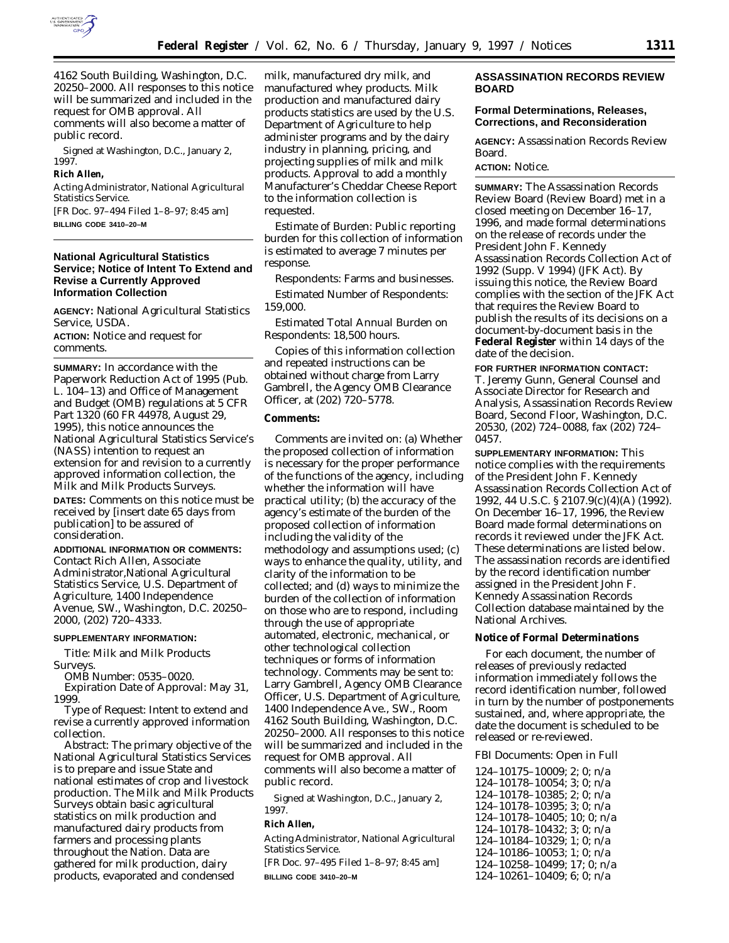

4162 South Building, Washington, D.C. 20250–2000. All responses to this notice will be summarized and included in the request for OMB approval. All comments will also become a matter of public record.

Signed at Washington, D.C., January 2, 1997.

#### **Rich Allen,**

*Acting Administrator, National Agricultural Statistics Service.*

[FR Doc. 97–494 Filed 1–8–97; 8:45 am] **BILLING CODE 3410–20–M**

## **National Agricultural Statistics Service; Notice of Intent To Extend and Revise a Currently Approved Information Collection**

**AGENCY:** National Agricultural Statistics Service, USDA.

**ACTION:** Notice and request for comments.

**SUMMARY:** In accordance with the Paperwork Reduction Act of 1995 (Pub. L. 104–13) and Office of Management and Budget (OMB) regulations at 5 CFR Part 1320 (60 FR 44978, August 29, 1995), this notice announces the National Agricultural Statistics Service's (NASS) intention to request an extension for and revision to a currently approved information collection, the Milk and Milk Products Surveys.

**DATES:** Comments on this notice must be received by [insert date 65 days from publication] to be assured of consideration.

## **ADDITIONAL INFORMATION OR COMMENTS:** Contact Rich Allen, Associate

Administrator,National Agricultural Statistics Service, U.S. Department of Agriculture, 1400 Independence Avenue, SW., Washington, D.C. 20250– 2000, (202) 720–4333.

## **SUPPLEMENTARY INFORMATION:**

*Title:* Milk and Milk Products Surveys.

*OMB Number:* 0535–0020.

*Expiration Date of Approval:* May 31, 1999.

*Type of Request:* Intent to extend and revise a currently approved information collection.

*Abstract:* The primary objective of the National Agricultural Statistics Services is to prepare and issue State and national estimates of crop and livestock production. The Milk and Milk Products Surveys obtain basic agricultural statistics on milk production and manufactured dairy products from farmers and processing plants throughout the Nation. Data are gathered for milk production, dairy products, evaporated and condensed

milk, manufactured dry milk, and manufactured whey products. Milk production and manufactured dairy products statistics are used by the U.S. Department of Agriculture to help administer programs and by the dairy industry in planning, pricing, and projecting supplies of milk and milk products. Approval to add a monthly Manufacturer's Cheddar Cheese Report to the information collection is requested.

*Estimate of Burden:* Public reporting burden for this collection of information is estimated to average 7 minutes per response.

*Respondents:* Farms and businesses. *Estimated Number of Respondents:* 159,000.

*Estimated Total Annual Burden on Respondents:* 18,500 hours.

Copies of this information collection and repeated instructions can be obtained without charge from Larry Gambrell, the Agency OMB Clearance Officer, at (202) 720–5778.

### **Comments:**

Comments are invited on: (a) Whether the proposed collection of information is necessary for the proper performance of the functions of the agency, including whether the information will have practical utility; (b) the accuracy of the agency's estimate of the burden of the proposed collection of information including the validity of the methodology and assumptions used; (c) ways to enhance the quality, utility, and clarity of the information to be collected; and (d) ways to minimize the burden of the collection of information on those who are to respond, including through the use of appropriate automated, electronic, mechanical, or other technological collection techniques or forms of information technology. Comments may be sent to: Larry Gambrell, Agency OMB Clearance Officer, U.S. Department of Agriculture, 1400 Independence Ave., SW., Room 4162 South Building, Washington, D.C. 20250–2000. All responses to this notice will be summarized and included in the request for OMB approval. All comments will also become a matter of public record.

Signed at Washington, D.C., January 2, 1997.

**Rich Allen,**

*Acting Administrator, National Agricultural Statistics Service.*

[FR Doc. 97–495 Filed 1–8–97; 8:45 am] **BILLING CODE 3410–20–M**

### **ASSASSINATION RECORDS REVIEW BOARD**

### **Formal Determinations, Releases, Corrections, and Reconsideration**

**AGENCY:** Assassination Records Review Board.

## **ACTION:** Notice.

**SUMMARY:** The Assassination Records Review Board (Review Board) met in a closed meeting on December 16–17, 1996, and made formal determinations on the release of records under the President John F. Kennedy Assassination Records Collection Act of 1992 (Supp. V 1994) (JFK Act). By issuing this notice, the Review Board complies with the section of the JFK Act that requires the Review Board to publish the results of its decisions on a document-by-document basis in the **Federal Register** within 14 days of the date of the decision.

**FOR FURTHER INFORMATION CONTACT:** T. Jeremy Gunn, General Counsel and Associate Director for Research and Analysis, Assassination Records Review Board, Second Floor, Washington, D.C. 20530, (202) 724–0088, fax (202) 724– 0457.

**SUPPLEMENTARY INFORMATION:** This notice complies with the requirements of the President John F. Kennedy Assassination Records Collection Act of 1992, 44 U.S.C. § 2107.9(c)(4)(A) (1992). On December 16–17, 1996, the Review Board made formal determinations on records it reviewed under the JFK Act. These determinations are listed below. The assassination records are identified by the record identification number assigned in the President John F. Kennedy Assassination Records Collection database maintained by the National Archives.

### **Notice of Formal Determinations**

For each document, the number of releases of previously redacted information immediately follows the record identification number, followed in turn by the number of postponements sustained, and, where appropriate, the date the document is scheduled to be released or re-reviewed.

#### *FBI Documents: Open in Full*

124–10175–10009; 2; 0; n/a 124–10178–10054; 3; 0; n/a 124–10178–10385; 2; 0; n/a 124–10178–10395; 3; 0; n/a 124–10178–10405; 10; 0; n/a 124–10178–10432; 3; 0; n/a 124–10184–10329; 1; 0; n/a 124–10186–10053; 1; 0; n/a 124–10258–10499; 17; 0; n/a 124–10261–10409; 6; 0; n/a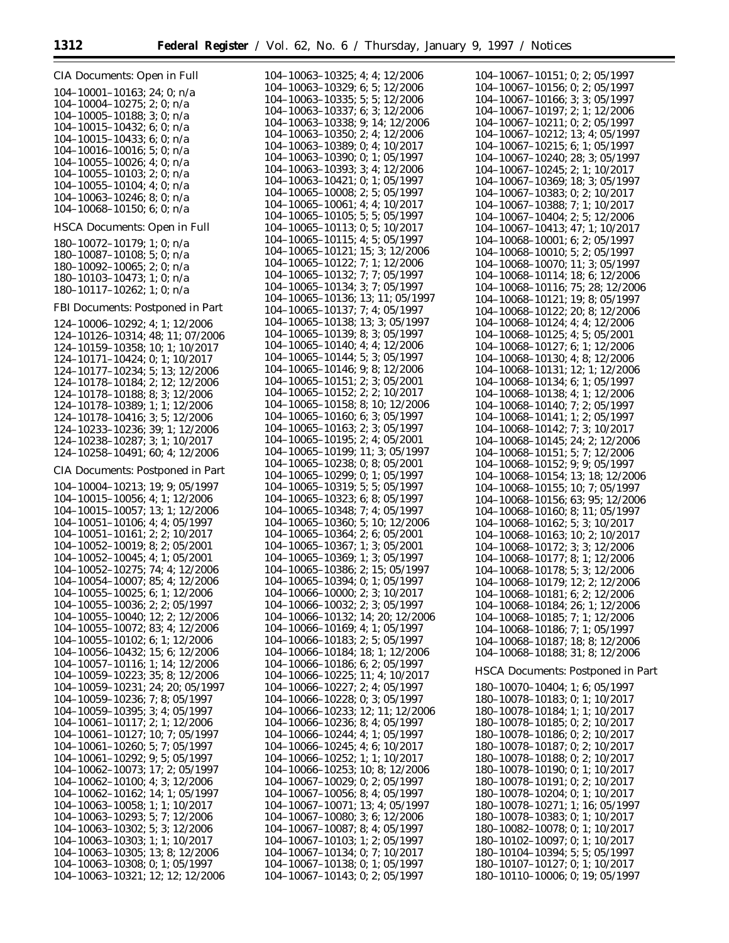*CIA Documents: Open in Full*

- 104–10001–10163; 24; 0; n/a 104–10004–10275; 2; 0; n/a 104–10005–10188; 3; 0; n/a 104–10015–10432; 6; 0; n/a 104–10015–10433; 6; 0; n/a 104–10016–10016; 5; 0; n/a 104–10055–10026; 4; 0; n/a 104–10055–10103; 2; 0; n/a 104–10055–10104; 4; 0; n/a 104–10063–10246; 8; 0; n/a 104–10068–10150; 6; 0; n/a
- *HSCA Documents: Open in Full*

180–10072–10179; 1; 0; n/a 180–10087–10108; 5; 0; n/a 180–10092–10065; 2; 0; n/a 180–10103–10473; 1; 0; n/a 180–10117–10262; 1; 0; n/a

#### *FBI Documents: Postponed in Part*

124–10006–10292; 4; 1; 12/2006 124–10126–10314; 48; 11; 07/2006 124–10159–10358; 10; 1; 10/2017 124–10171–10424; 0; 1; 10/2017 124–10177–10234; 5; 13; 12/2006 124–10178–10184; 2; 12; 12/2006 124–10178–10188; 8; 3; 12/2006 124–10178–10389; 1; 1; 12/2006 124–10178–10416; 3; 5; 12/2006 124–10233–10236; 39; 1; 12/2006 124–10238–10287; 3; 1; 10/2017 124–10258–10491; 60; 4; 12/2006

*CIA Documents: Postponed in Part*

104–10004–10213; 19; 9; 05/1997 104–10015–10056; 4; 1; 12/2006 104–10015–10057; 13; 1; 12/2006 104–10051–10106; 4; 4; 05/1997 104–10051–10161; 2; 2; 10/2017 104–10052–10019; 8; 2; 05/2001 104–10052–10045; 4; 1; 05/2001 104–10052–10275; 74; 4; 12/2006 104–10054–10007; 85; 4; 12/2006 104–10055–10025; 6; 1; 12/2006 104–10055–10036; 2; 2; 05/1997 104–10055–10040; 12; 2; 12/2006 104–10055–10072; 83; 4; 12/2006 104–10055–10102; 6; 1; 12/2006 104–10056–10432; 15; 6; 12/2006 104–10057–10116; 1; 14; 12/2006 104–10059–10223; 35; 8; 12/2006 104–10059–10231; 24; 20; 05/1997 104–10059–10236; 7; 8; 05/1997 104–10059–10395; 3; 4; 05/1997 104–10061–10117; 2; 1; 12/2006 104–10061–10127; 10; 7; 05/1997 104–10061–10260; 5; 7; 05/1997 104–10061–10292; 9; 5; 05/1997 104–10062–10073; 17; 2; 05/1997 104–10062–10100; 4; 3; 12/2006 104–10062–10162; 14; 1; 05/1997 104–10063–10058; 1; 1; 10/2017 104–10063–10293; 5; 7; 12/2006 104–10063–10302; 5; 3; 12/2006 104–10063–10303; 1; 1; 10/2017 104–10063–10305; 13; 8; 12/2006 104–10063–10308; 0; 1; 05/1997 104–10063–10321; 12; 12; 12/2006 104–10063–10325; 4; 4; 12/2006 104–10063–10329; 6; 5; 12/2006 104–10063–10335; 5; 5; 12/2006 104–10063–10337; 6; 3; 12/2006 104–10063–10338; 9; 14; 12/2006 104–10063–10350; 2; 4; 12/2006 104–10063–10389; 0; 4; 10/2017 104–10063–10390; 0; 1; 05/1997 104–10063–10393; 3; 4; 12/2006 104–10063–10421; 0; 1; 05/1997 104–10065–10008; 2; 5; 05/1997 104–10065–10061; 4; 4; 10/2017 104–10065–10105; 5; 5; 05/1997 104–10065–10113; 0; 5; 10/2017 104–10065–10115; 4; 5; 05/1997 104–10065–10121; 15; 3; 12/2006 104–10065–10122; 7; 1; 12/2006 104–10065–10132; 7; 7; 05/1997 104–10065–10134; 3; 7; 05/1997 104–10065–10136; 13; 11; 05/1997 104–10065–10137; 7; 4; 05/1997 104–10065–10138; 13; 3; 05/1997 104–10065–10139; 8; 3; 05/1997 104–10065–10140; 4; 4; 12/2006 104–10065–10144; 5; 3; 05/1997 104–10065–10146; 9; 8; 12/2006 104–10065–10151; 2; 3; 05/2001 104–10065–10152; 2; 2; 10/2017 104–10065–10158; 8; 10; 12/2006 104–10065–10160; 6; 3; 05/1997 104–10065–10163; 2; 3; 05/1997 104–10065–10195; 2; 4; 05/2001 104–10065–10199; 11; 3; 05/1997 104–10065–10238; 0; 8; 05/2001 104–10065–10299; 0; 1; 05/1997 104–10065–10319; 5; 5; 05/1997 104–10065–10323; 6; 8; 05/1997 104–10065–10348; 7; 4; 05/1997 104–10065–10360; 5; 10; 12/2006 104–10065–10364; 2; 6; 05/2001 104–10065–10367; 1; 3; 05/2001 104–10065–10369; 1; 3; 05/1997 104–10065–10386; 2; 15; 05/1997 104–10065–10394; 0; 1; 05/1997 104–10066–10000; 2; 3; 10/2017 104–10066–10032; 2; 3; 05/1997 104–10066–10132; 14; 20; 12/2006 104–10066–10169; 4; 1; 05/1997 104–10066–10183; 2; 5; 05/1997 104–10066–10184; 18; 1; 12/2006 104–10066–10186; 6; 2; 05/1997 104–10066–10225; 11; 4; 10/2017 104–10066–10227; 2; 4; 05/1997 104–10066–10228; 0; 3; 05/1997 104–10066–10233; 12; 11; 12/2006 104–10066–10236; 8; 4; 05/1997 104–10066–10244; 4; 1; 05/1997 104–10066–10245; 4; 6; 10/2017 104–10066–10252; 1; 1; 10/2017 104–10066–10253; 10; 8; 12/2006 104–10067–10029; 0; 2; 05/1997 104–10067–10056; 8; 4; 05/1997 104–10067–10071; 13; 4; 05/1997 104–10067–10080; 3; 6; 12/2006 104–10067–10087; 8; 4; 05/1997 104–10067–10103; 1; 2; 05/1997 104–10067–10134; 0; 7; 10/2017 104–10067–10138; 0; 1; 05/1997 104–10067–10143; 0; 2; 05/1997

104–10067–10151; 0; 2; 05/1997 104–10067–10156; 0; 2; 05/1997 104–10067–10166; 3; 3; 05/1997 104–10067–10197; 2; 1; 12/2006 104–10067–10211; 0; 2; 05/1997 104–10067–10212; 13; 4; 05/1997 104–10067–10215; 6; 1; 05/1997 104–10067–10240; 28; 3; 05/1997 104–10067–10245; 2; 1; 10/2017 104–10067–10369; 18; 3; 05/1997 104–10067–10383; 0; 2; 10/2017 104–10067–10388; 7; 1; 10/2017 104–10067–10404; 2; 5; 12/2006 104–10067–10413; 47; 1; 10/2017 104–10068–10001; 6; 2; 05/1997 104–10068–10010; 5; 2; 05/1997 104–10068–10070; 11; 3; 05/1997 104–10068–10114; 18; 6; 12/2006 104–10068–10116; 75; 28; 12/2006 104–10068–10121; 19; 8; 05/1997 104–10068–10122; 20; 8; 12/2006 104–10068–10124; 4; 4; 12/2006 104–10068–10125; 4; 5; 05/2001 104–10068–10127; 6; 1; 12/2006 104–10068–10130; 4; 8; 12/2006 104–10068–10131; 12; 1; 12/2006 104–10068–10134; 6; 1; 05/1997 104–10068–10138; 4; 1; 12/2006 104–10068–10140; 7; 2; 05/1997 104–10068–10141; 1; 2; 05/1997 104–10068–10142; 7; 3; 10/2017 104–10068–10145; 24; 2; 12/2006 104–10068–10151; 5; 7; 12/2006 104–10068–10152; 9; 9; 05/1997 104–10068–10154; 13; 18; 12/2006 104–10068–10155; 10; 7; 05/1997 104–10068–10156; 63; 95; 12/2006 104–10068–10160; 8; 11; 05/1997 104–10068–10162; 5; 3; 10/2017 104–10068–10163; 10; 2; 10/2017 104–10068–10172; 3; 3; 12/2006 104–10068–10177; 8; 1; 12/2006 104–10068–10178; 5; 3; 12/2006 104–10068–10179; 12; 2; 12/2006 104–10068–10181; 6; 2; 12/2006 104–10068–10184; 26; 1; 12/2006 104–10068–10185; 7; 1; 12/2006 104–10068–10186; 7; 1; 05/1997 104–10068–10187; 18; 8; 12/2006 104–10068–10188; 31; 8; 12/2006 *HSCA Documents: Postponed in Part* 180–10070–10404; 1; 6; 05/1997 180–10078–10183; 0; 1; 10/2017 180–10078–10184; 1; 1; 10/2017 180–10078–10185; 0; 2; 10/2017 180–10078–10186; 0; 2; 10/2017 180–10078–10187; 0; 2; 10/2017 180–10078–10188; 0; 2; 10/2017 180–10078–10190; 0; 1; 10/2017 180–10078–10191; 0; 2; 10/2017 180–10078–10204; 0; 1; 10/2017 180–10078–10271; 1; 16; 05/1997 180–10078–10383; 0; 1; 10/2017 180–10082–10078; 0; 1; 10/2017 180–10102–10097; 0; 1; 10/2017

180–10104–10394; 5; 5; 05/1997 180–10107–10127; 0; 1; 10/2017 180–10110–10006; 0; 19; 05/1997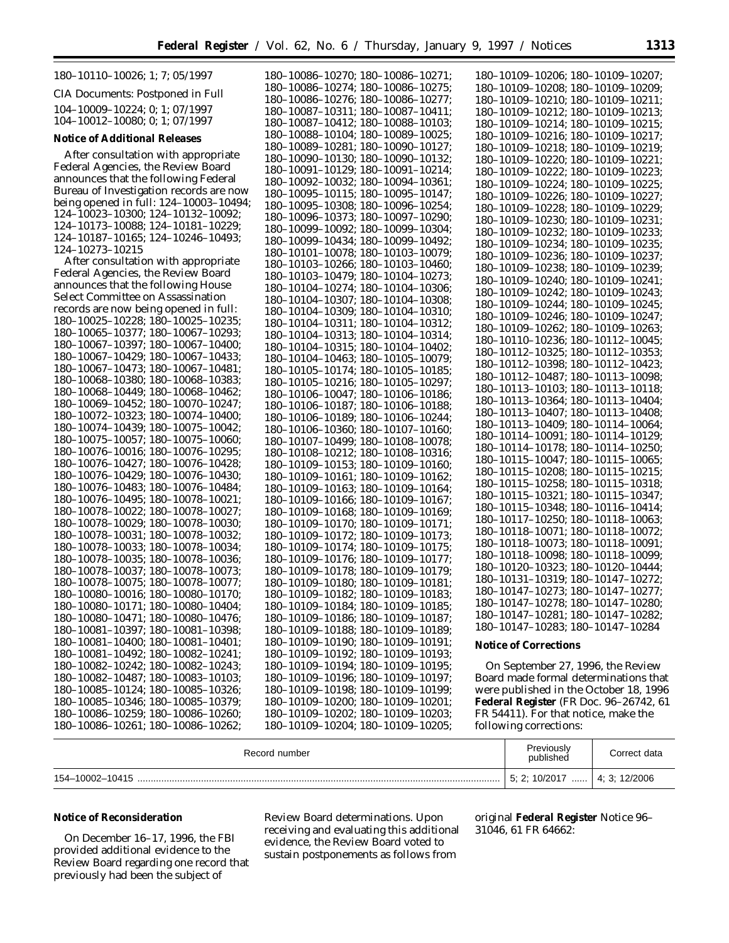۰

| $180 - 10110 - 10026$ ; 1; 7; 05/1997                              | 180-10086-10270; 180-10086-10271;                                      | 180-10109-10206; 180-10109-10207;                                      |
|--------------------------------------------------------------------|------------------------------------------------------------------------|------------------------------------------------------------------------|
| CIA Documents: Postponed in Full                                   | 180-10086-10274; 180-10086-10275;<br>180-10086-10276; 180-10086-10277; | 180-10109-10208; 180-10109-10209;<br>180-10109-10210; 180-10109-10211; |
| 104-10009-10224; 0; 1; 07/1997<br>$104-10012-10080; 0; 1; 07/1997$ | 180-10087-10311; 180-10087-10411;<br>180-10087-10412; 180-10088-10103; | 180-10109-10212; 180-10109-10213;<br>180-10109-10214; 180-10109-10215; |
| Notice of Additional Releases                                      | 180-10088-10104; 180-10089-10025;<br>180-10089-10281; 180-10090-10127; | 180-10109-10216; 180-10109-10217;<br>180-10109-10218; 180-10109-10219; |
| After consultation with appropriate                                | 180-10090-10130; 180-10090-10132;                                      | 180-10109-10220; 180-10109-10221;                                      |
| Federal Agencies, the Review Board                                 | 180-10091-10129; 180-10091-10214;                                      | 180-10109-10222; 180-10109-10223;                                      |
| announces that the following Federal                               | $180-10092-10032$ ; $180-10094-10361$ ;                                | 180-10109-10224; 180-10109-10225;                                      |
| Bureau of Investigation records are now                            | 180-10095-10115; 180-10095-10147;                                      | 180-10109-10226; 180-10109-10227;                                      |
| being opened in full: 124-10003-10494;                             | 180-10095-10308; 180-10096-10254;                                      | 180-10109-10228; 180-10109-10229;                                      |
| 124-10023-10300; 124-10132-10092;                                  | 180-10096-10373; 180-10097-10290;                                      |                                                                        |
| $124-10173-10088$ ; $124-10181-10229$ ;                            | 180-10099-10092; 180-10099-10304;                                      | 180-10109-10230; 180-10109-10231;                                      |
| 124-10187-10165; 124-10246-10493;                                  | 180-10099-10434; 180-10099-10492;                                      | 180-10109-10232; 180-10109-10233;                                      |
| 124-10273-10215                                                    | 180-10101-10078; 180-10103-10079;                                      | 180-10109-10234; 180-10109-10235;                                      |
| After consultation with appropriate                                | 180-10103-10266; 180-10103-10460;                                      | 180-10109-10236; 180-10109-10237;                                      |
| Federal Agencies, the Review Board                                 | 180-10103-10479; 180-10104-10273;                                      | 180-10109-10238; 180-10109-10239;                                      |
| announces that the following House                                 | 180-10104-10274; 180-10104-10306;                                      | 180-10109-10240; 180-10109-10241;                                      |
| Select Committee on Assassination                                  | 180-10104-10307; 180-10104-10308;                                      | 180-10109-10242; 180-10109-10243;                                      |
| records are now being opened in full:                              | 180-10104-10309; 180-10104-10310;                                      | 180-10109-10244; 180-10109-10245;                                      |
| 180-10025-10228; 180-10025-10235;                                  | 180-10104-10311; 180-10104-10312;                                      | 180-10109-10246; 180-10109-10247;                                      |
| 180-10065-10377; 180-10067-10293;                                  | 180-10104-10313; 180-10104-10314;                                      | 180-10109-10262; 180-10109-10263;                                      |
| 180-10067-10397; 180-10067-10400;                                  | 180-10104-10315; 180-10104-10402;                                      | 180-10110-10236; 180-10112-10045;                                      |
| 180-10067-10429; 180-10067-10433;                                  | 180-10104-10463; 180-10105-10079;                                      | 180-10112-10325; 180-10112-10353;                                      |
| 180-10067-10473; 180-10067-10481;                                  | 180-10105-10174; 180-10105-10185;                                      | 180-10112-10398; 180-10112-10423;                                      |
| 180-10068-10380; 180-10068-10383;                                  | 180-10105-10216; 180-10105-10297;                                      | 180-10112-10487; 180-10113-10098;                                      |
| 180-10068-10449; 180-10068-10462;                                  | 180-10106-10047; 180-10106-10186;                                      | 180-10113-10103; 180-10113-10118;                                      |
| 180-10069-10452; 180-10070-10247;                                  | 180-10106-10187; 180-10106-10188;                                      | 180-10113-10364; 180-10113-10404;                                      |
| 180-10072-10323; 180-10074-10400;                                  | 180-10106-10189; 180-10106-10244;                                      | 180-10113-10407; 180-10113-10408;                                      |
| 180-10074-10439; 180-10075-10042;                                  | 180-10106-10360; 180-10107-10160;                                      | 180-10113-10409; 180-10114-10064;                                      |
| 180-10075-10057; 180-10075-10060;                                  | 180-10107-10499; 180-10108-10078;                                      | 180-10114-10091; 180-10114-10129;                                      |
| 180-10076-10016; 180-10076-10295;                                  | 180-10108-10212; 180-10108-10316;                                      | 180-10114-10178; 180-10114-10250;                                      |
| 180-10076-10427; 180-10076-10428;                                  | 180-10109-10153; 180-10109-10160;                                      | 180-10115-10047; 180-10115-10065;                                      |
| 180-10076-10429; 180-10076-10430;                                  | 180-10109-10161; 180-10109-10162;                                      | $180-10115-10208$ ; $180-10115-10215$ ;                                |
| 180-10076-10483; 180-10076-10484;                                  | 180-10109-10163; 180-10109-10164;                                      | 180-10115-10258; 180-10115-10318;                                      |
| 180-10076-10495; 180-10078-10021;                                  | 180-10109-10166; 180-10109-10167;                                      | 180-10115-10321; 180-10115-10347;                                      |
| 180-10078-10022; 180-10078-10027;                                  | 180-10109-10168; 180-10109-10169;                                      | 180-10115-10348; 180-10116-10414;                                      |
| 180-10078-10029; 180-10078-10030;                                  | 180-10109-10170; 180-10109-10171;                                      | 180-10117-10250; 180-10118-10063;                                      |
| 180-10078-10031; 180-10078-10032;                                  | 180-10109-10172; 180-10109-10173;                                      | 180-10118-10071; 180-10118-10072;                                      |
| 180-10078-10033; 180-10078-10034;                                  | 180-10109-10174; 180-10109-10175;                                      | 180-10118-10073; 180-10118-10091;                                      |
| 180-10078-10035; 180-10078-10036;                                  | 180-10109-10176; 180-10109-10177;                                      | 180-10118-10098; 180-10118-10099;                                      |
| 180-10078-10037; 180-10078-10073;                                  | 180-10109-10178; 180-10109-10179;                                      | 180-10120-10323; 180-10120-10444;                                      |
| 180-10078-10075; 180-10078-10077;                                  | 180-10109-10180; 180-10109-10181;                                      | 180-10131-10319; 180-10147-10272;                                      |
| 180-10080-10016; 180-10080-10170;                                  | 180-10109-10182; 180-10109-10183;                                      | 180-10147-10273; 180-10147-10277;                                      |
| 180-10080-10171; 180-10080-10404;                                  | 180-10109-10184; 180-10109-10185;                                      | 180-10147-10278; 180-10147-10280;                                      |
| 180-10080-10471; 180-10080-10476;                                  | 180-10109-10186; 180-10109-10187;                                      | 180-10147-10281; 180-10147-10282;                                      |
| 180-10081-10397; 180-10081-10398;                                  | 180-10109-10188; 180-10109-10189;                                      | 180-10147-10283; 180-10147-10284                                       |
| 180-10081-10400; 180-10081-10401;                                  | $180-10109-10190; 180-10109-10191;$                                    | Notice of Corrections                                                  |
| 180-10081-10492; 180-10082-10241;                                  | 180-10109-10192; 180-10109-10193;                                      |                                                                        |
| 180-10082-10242; 180-10082-10243;                                  | 180-10109-10194; 180-10109-10195;                                      | On September 27, 1996, the Review                                      |
| 180-10082-10487; 180-10083-10103;                                  | 180-10109-10196; 180-10109-10197;                                      | Board made formal determinations that                                  |
| 180-10085-10124; 180-10085-10326;                                  | 180-10109-10198; 180-10109-10199;                                      | were published in the October 18, 1996                                 |
| 180-10085-10346; 180-10085-10379;                                  | 180-10109-10200; 180-10109-10201;                                      | Federal Register (FR Doc. 96-26742, 61                                 |
| 180-10086-10259; 180-10086-10260;                                  | 180-10109-10202; 180-10109-10203;                                      | FR 54411). For that notice, make the                                   |
| 180-10086-10261; 180-10086-10262;                                  | 180-10109-10204; 180-10109-10205;                                      | following corrections:                                                 |

| Record number   | Previously<br>published | Correct data  |
|-----------------|-------------------------|---------------|
| 154-10002-10415 | 5: 2: 10/2017<br>.      | 4: 3: 12/2006 |

# **Notice of Reconsideration**

On December 16–17, 1996, the FBI provided additional evidence to the Review Board regarding one record that previously had been the subject of

Review Board determinations. Upon receiving and evaluating this additional evidence, the Review Board voted to sustain postponements as follows from

original **Federal Register** Notice 96– 31046, 61 FR 64662: